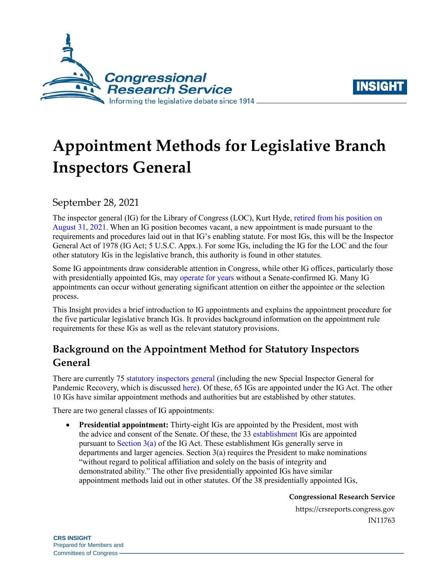



# **Appointment Methods for Legislative Branch Inspectors General**

September 28, 2021

The inspector general (IG) for the Library of Congress (LOC), Kurt Hyde, [retired from his position on](https://www.congress.gov/congressional-record/2021/8/31/extensions-of-remarks-section/article/e938-3)  [August 31, 2021.](https://www.congress.gov/congressional-record/2021/8/31/extensions-of-remarks-section/article/e938-3) When an IG position becomes vacant, a new appointment is made pursuant to the requirements and procedures laid out in that IG's enabling statute. For most IGs, this will be the Inspector General Act of 1978 (IG Act; 5 U.S.C. Appx.). For some IGs, including the IG for the LOC and the four other statutory IGs in the legislative branch, this authority is found in other statutes.

Some IG appointments draw considerable attention in Congress, while other IG offices, particularly those with presidentially appointed IGs, may [operate for years](https://www.oversight.gov/ig-vacancies) without a Senate-confirmed IG. Many IG appointments can occur without generating significant attention on either the appointee or the selection process.

This Insight provides a brief introduction to IG appointments and explains the appointment procedure for the five particular legislative branch IGs. It provides background information on the appointment rule requirements for these IGs as well as the relevant statutory provisions.

## **Background on the Appointment Method for Statutory Inspectors General**

There are currently 75 [statutory inspectors general](https://crsreports.congress.gov/product/pdf/R/R45450) (including the new Special Inspector General for Pandemic Recovery, which is discusse[d here\)](https://crsreports.congress.gov/product/pdf/IN/IN11328). Of these, 65 IGs are appointed under the IG Act. The other 10 IGs have similar appointment methods and authorities but are established by other statutes.

There are two general classes of IG appointments:

 **Presidential appointment:** Thirty-eight IGs are appointed by the President, most with the advice and consent of the Senate. Of these, the 33 [establishment](https://uscode.house.gov/view.xhtml?req=granuleid:USC-prelim-title5a-node20-section12&num=0&edition=prelim) IGs are appointed pursuant to Section  $3(a)$  of the IG Act. These establishment IGs generally serve in departments and larger agencies. Section 3(a) requires the President to make nominations "without regard to political affiliation and solely on the basis of integrity and demonstrated ability." The other five presidentially appointed IGs have similar appointment methods laid out in other statutes. Of the 38 presidentially appointed IGs,

**Congressional Research Service**

https://crsreports.congress.gov IN11763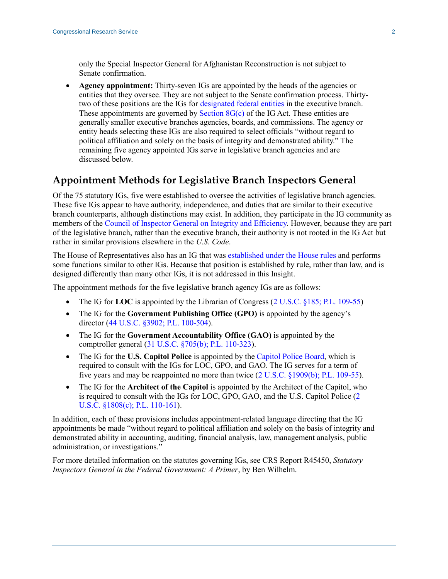only the Special Inspector General for Afghanistan Reconstruction is not subject to Senate confirmation.

 **Agency appointment:** Thirty-seven IGs are appointed by the heads of the agencies or entities that they oversee. They are not subject to the Senate confirmation process. Thirtytwo of these positions are the IGs for [designated federal entities](https://uscode.house.gov/view.xhtml?req=granuleid:USC-prelim-title5a-node20-section12&num=0&edition=prelim) in the executive branch. These appointments are governed by Section  $8G(c)$  of the IG Act. These entities are generally smaller executive branches agencies, boards, and commissions. The agency or entity heads selecting these IGs are also required to select officials "without regard to political affiliation and solely on the basis of integrity and demonstrated ability." The remaining five agency appointed IGs serve in legislative branch agencies and are discussed below.

#### **Appointment Methods for Legislative Branch Inspectors General**

Of the 75 statutory IGs, five were established to oversee the activities of legislative branch agencies. These five IGs appear to have authority, independence, and duties that are similar to their executive branch counterparts, although distinctions may exist. In addition, they participate in the IG community as members of the [Council of Inspector General on Integrity and Efficiency.](https://www.ignet.gov/) However, because they are part of the legislative branch, rather than the executive branch, their authority is not rooted in the IG Act but rather in similar provisions elsewhere in the *U.S. Code*.

The House of Representatives also has an IG that was [established under the House rules a](https://crsreports.congress.gov/product/pdf/IF/IF11024)nd performs some functions similar to other IGs. Because that position is established by rule, rather than law, and is designed differently than many other IGs, it is not addressed in this Insight.

The appointment methods for the five legislative branch agency IGs are as follows:

- The IG for **LOC** is appointed by the Librarian of Congress [\(2 U.S.C. §185;](https://uscode.house.gov/view.xhtml?req=(title:2%20section:185%20edition:prelim)%20OR%20(granuleid:USC-prelim-title2-section185)&f=treesort&edition=prelim&num=0&jumpTo=true) [P.L. 109-55\)](http://www.congress.gov/cgi-lis/bdquery/R?d109:FLD002:@1(109+55))
- The IG for the **Government Publishing Office (GPO)** is appointed by the agency's director [\(44 U.S.C. §3902;](https://uscode.house.gov/view.xhtml?req=granuleid%3AUSC-prelim-title44-chapter39&saved=%7CKHRpdGxlOjQ0IHNlY3Rpb246MzkwMSBlZGl0aW9uOnByZWxpbSkgT1IgKGdyYW51bGVpZDpVU0MtcHJlbGltLXRpdGxlNDQtc2VjdGlvbjM5MDEp%7CdHJlZXNvcnQ%3D%7C%7C0%7Cfalse%7Cprelim&edition=prelim) [P.L. 100-504\)](http://www.congress.gov/cgi-lis/bdquery/R?d100:FLD002:@1(100+504)).
- The IG for the **Government Accountability Office (GAO)** is appointed by the comptroller general [\(31 U.S.C. §705\(b\);](https://uscode.house.gov/view.xhtml?req=(title:31%20section:705%20edition:prelim)%20OR%20(granuleid:USC-prelim-title31-section705)&f=treesort&edition=prelim&num=0&jumpTo=true) [P.L. 110-323\)](http://www.congress.gov/cgi-lis/bdquery/R?d110:FLD002:@1(110+323)).
- The IG for the **U.S. Capitol Police** is appointed by the [Capitol Police Board,](https://crsreports.congress.gov/product/pdf/IN/IN11570) which is required to consult with the IGs for LOC, GPO, and GAO. The IG serves for a term of five years and may be reappointed no more than twice [\(2 U.S.C. §1909\(b\);](https://uscode.house.gov/view.xhtml?req=(title:2%20section:1909%20edition:prelim)%20OR%20(granuleid:USC-prelim-title2-section1909)&f=treesort&edition=prelim&num=0&jumpTo=true) [P.L. 109-55\)](http://www.congress.gov/cgi-lis/bdquery/R?d109:FLD002:@1(109+55)).
- The IG for the **Architect of the Capitol** is appointed by the Architect of the Capitol, who is required to consult with the IGs for LOC, GPO, GAO, and the U.S. Capitol Police [\(2](https://uscode.house.gov/view.xhtml?req=(title:2%20section:1808%20edition:prelim)%20OR%20(granuleid:USC-prelim-title2-section1808)&f=treesort&edition=prelim&num=0&jumpTo=true)  [U.S.C. §1808\(c\);](https://uscode.house.gov/view.xhtml?req=(title:2%20section:1808%20edition:prelim)%20OR%20(granuleid:USC-prelim-title2-section1808)&f=treesort&edition=prelim&num=0&jumpTo=true) [P.L. 110-161\)](http://www.congress.gov/cgi-lis/bdquery/R?d110:FLD002:@1(110+161)).

In addition, each of these provisions includes appointment-related language directing that the IG appointments be made "without regard to political affiliation and solely on the basis of integrity and demonstrated ability in accounting, auditing, financial analysis, law, management analysis, public administration, or investigations."

For more detailed information on the statutes governing IGs, see CRS Report R45450, *[Statutory](https://crsreports.congress.gov/product/pdf/R/R45450)  [Inspectors General in the Federal Government: A Primer](https://crsreports.congress.gov/product/pdf/R/R45450)*, by Ben Wilhelm.